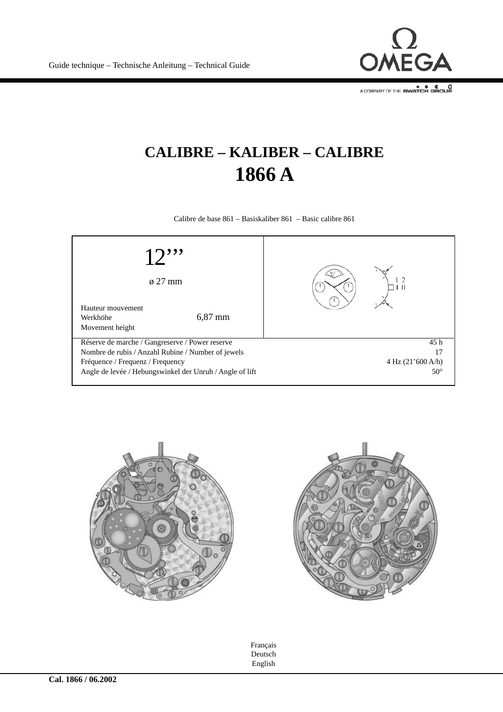

A COMPANY OF THE SWATCH GROUP

## **CALIBRE – KALIBER – CALIBRE 1866 A**

Calibre de base 861 – Basiskaliber 861 – Basic calibre 861







Français Deutsch English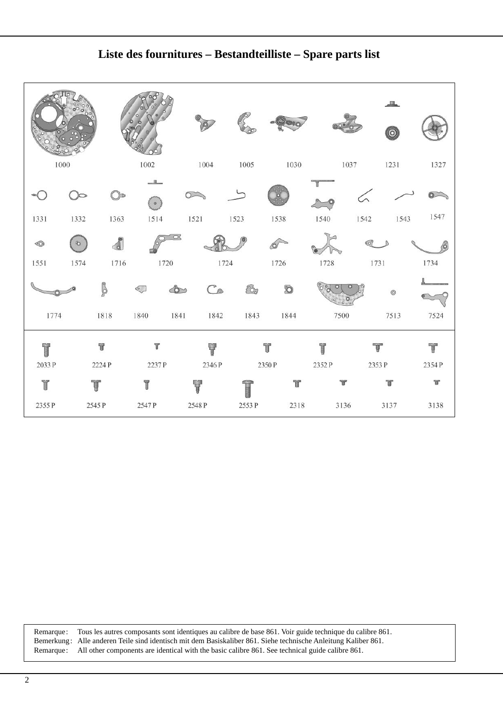

**Liste des fournitures – Bestandteilliste – Spare parts list**

Remarque: Tous les autres composants sont identiques au calibre de base 861. Voir guide technique du calibre 861. Bemerkung: Alle anderen Teile sind identisch mit dem Basiskaliber 861. Siehe technische Anleitung Kaliber 861. Remarque: All other components are identical with the basic calibre 861. See technical guide calibre 861.